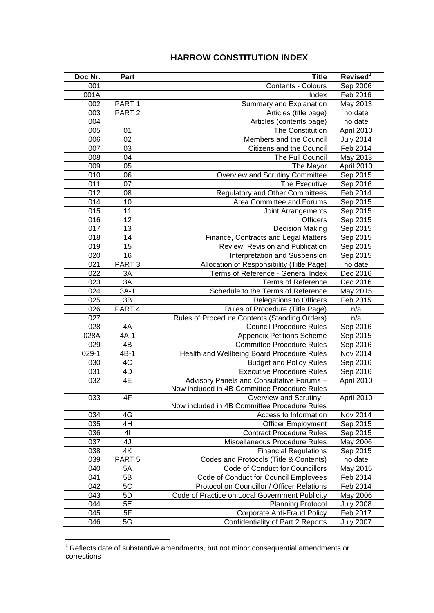## **HARROW CONSTITUTION INDEX**

| Doc Nr. | Part              | <b>Title</b>                                   | Revised <sup>1</sup> |
|---------|-------------------|------------------------------------------------|----------------------|
| 001     |                   | Contents - Colours                             | Sep 2006             |
| 001A    |                   | Index                                          | Feb 2016             |
| 002     | PART <sub>1</sub> | Summary and Explanation                        | May 2013             |
| 003     | PART <sub>2</sub> | Articles (title page)                          | no date              |
| 004     |                   | Articles (contents page)                       | no date              |
| 005     | 01                | The Constitution                               | April 2010           |
| 006     | 02                | Members and the Council                        | <b>July 2014</b>     |
| 007     | 03                | Citizens and the Council                       | Feb 2014             |
| 008     | 04                | The Full Council                               | May 2013             |
| 009     | 05                | The Mayor                                      | April 2010           |
| 010     | 06                | Overview and Scrutiny Committee                | Sep 2015             |
| 011     | 07                | The Executive                                  | Sep 2016             |
| 012     | 08                | <b>Regulatory and Other Committees</b>         | Feb 2014             |
| 014     | 10                | Area Committee and Forums                      | Sep 2015             |
| 015     | 11                | Joint Arrangements                             | Sep 2015             |
| 016     | 12                | <b>Officers</b>                                | Sep 2015             |
| 017     | 13                | <b>Decision Making</b>                         | Sep 2015             |
| 018     | 14                | Finance, Contracts and Legal Matters           | Sep 2015             |
| 019     | 15                | Review, Revision and Publication               | Sep 2015             |
| 020     | 16                | Interpretation and Suspension                  | Sep 2015             |
| 021     | PART <sub>3</sub> | Allocation of Responsibility (Title Page)      | no date              |
| 022     | 3A                | Terms of Reference - General Index             | Dec 2016             |
| 023     | 3A                | <b>Terms of Reference</b>                      | Dec 2016             |
| 024     | $3A-1$            | Schedule to the Terms of Reference             | May 2015             |
| 025     | 3B                | Delegations to Officers                        | Feb 2015             |
| 026     | PART 4            | Rules of Procedure (Title Page)                | n/a                  |
| 027     |                   | Rules of Procedure Contents (Standing Orders)  | n/a                  |
| 028     | 4A                | <b>Council Procedure Rules</b>                 | Sep 2016             |
| 028A    | $4A-1$            | <b>Appendix Petitions Scheme</b>               | Sep 2015             |
| 029     | $4\overline{B}$   | <b>Committee Procedure Rules</b>               | Sep 2016             |
| $029-1$ | $4B-1$            | Health and Wellbeing Board Procedure Rules     | Nov 2014             |
| 030     | 4C                | <b>Budget and Policy Rules</b>                 | Sep 2016             |
| 031     | 4D                | <b>Executive Procedure Rules</b>               | Sep 2016             |
| 032     | 4E                | Advisory Panels and Consultative Forums -      | April 2010           |
|         |                   | Now included in 4B Committee Procedure Rules   |                      |
| 033     | 4F                | Overview and Scrutiny -                        | April 2010           |
|         |                   | Now included in 4B Committee Procedure Rules   |                      |
| 034     | 4G                | Access to Information                          | Nov 2014             |
| 035     | 4H                | <b>Officer Employment</b>                      | Sep 2015             |
| 036     | 41                | <b>Contract Procedure Rules</b>                | Sep 2015             |
| 037     | 4J                | Miscellaneous Procedure Rules                  | May 2006             |
| 038     | 4K                | <b>Financial Regulations</b>                   | Sep 2015             |
| 039     | PART <sub>5</sub> | Codes and Protocols (Title & Contents)         | no date              |
| 040     | 5A                | Code of Conduct for Councillors                | May 2015             |
| 041     | 5B                | Code of Conduct for Council Employees          | Feb 2014             |
| 042     | 5C                | Protocol on Councillor / Officer Relations     | Feb 2014             |
| 043     | 5D                | Code of Practice on Local Government Publicity | May 2006             |
| 044     | 5E                | <b>Planning Protocol</b>                       | <b>July 2008</b>     |
| 045     | 5F                | <b>Corporate Anti-Fraud Policy</b>             | Feb 2017             |
| 046     | 5G                | Confidentiality of Part 2 Reports              | <b>July 2007</b>     |

 Reflects date of substantive amendments, but not minor consequential amendments or corrections

<u>.</u>